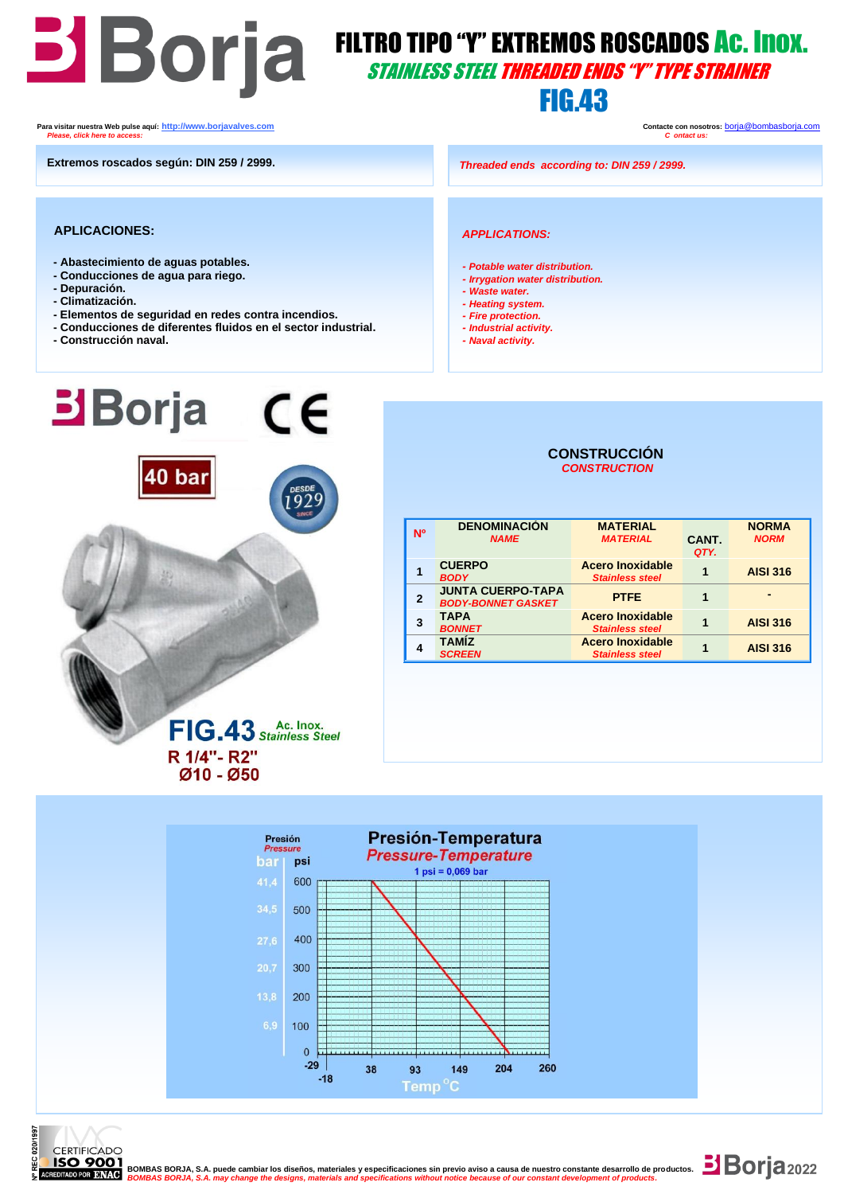# FILTRO TIPO "Y" EXTREMOS ROSCADOS AC. INOX. STAINLESS STEEL THREADED ENDS "Y" TYPE STRAINER

### **FIG.43**

 **Para visitar nuestra Web pulse aquí: [http://www.borjavalves.com](http://www.borjavalves.com/) Contacte con nosotros:** [borja@bombasborja.com](mailto:borja@bombasborja.com)  *Please, click here to access: C ontact us:* 

**Extremos roscados según: DIN 259 / 2999.**

*Threaded ends according to: DIN 259 / 2999.*

#### **APLICACIONES:**

- **- Abastecimiento de aguas potables.**
- **- Conducciones de agua para riego.**
- **- Depuración.**
- **- Climatización.**
- **- Elementos de seguridad en redes contra incendios.**
- **- Conducciones de diferentes fluidos en el sector industrial.**
- **- Construcción naval.**

### *APPLICATIONS:*

- *- Potable water distribution.*
- *- Irrygation water distribution.*
- *- Waste water.*
- *- Heating system.*
- *- Fire protection. - Industrial activity.*
- *- Naval activity.*



### **CONSTRUCCIÓN**  *CONSTRUCTION*

| <b>Nº</b>    | <b>DENOMINACIÓN</b><br><b>NAME</b>                    | <b>MATERIAL</b><br><b>MATERIAL</b>                | CANT.<br>QTY. | <b>NORMA</b><br><b>NORM</b> |
|--------------|-------------------------------------------------------|---------------------------------------------------|---------------|-----------------------------|
|              | <b>CUERPO</b><br><b>BODY</b>                          | <b>Acero Inoxidable</b><br><b>Stainless steel</b> | 1             | <b>AISI 316</b>             |
| $\mathbf{2}$ | <b>JUNTA CUERPO-TAPA</b><br><b>BODY-BONNET GASKET</b> | <b>PTFE</b>                                       |               |                             |
| 3            | <b>TAPA</b><br><b>BONNET</b>                          | <b>Acero Inoxidable</b><br><b>Stainless steel</b> |               | <b>AISI 316</b>             |
|              | <b>TAMÍZ</b><br><b>SCREEN</b>                         | <b>Acero Inoxidable</b><br><b>Stainless steel</b> |               | <b>AISI 316</b>             |



**S** BORJA, S.A. may change the designs, materials and specifications without notice because of our constant development of pro